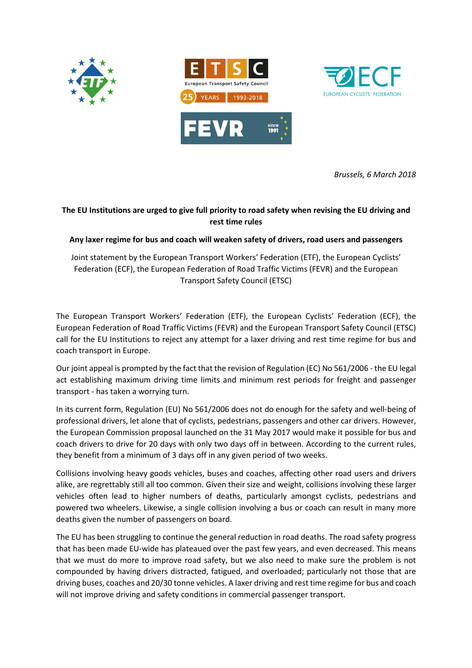



*Brussels, 6 March 2018* 

## **The EU Institutions are urged to give full priority to road safety when revising the EU driving and rest time rules**

## **Any laxer regime for bus and coach will weaken safety of drivers, road users and passengers**

Joint statement by the European Transport Workers' Federation (ETF), the European Cyclists' Federation (ECF), the European Federation of Road Traffic Victims (FEVR) and the European Transport Safety Council (ETSC)

The European Transport Workers' Federation (ETF), the European Cyclists' Federation (ECF), the European Federation of Road Traffic Victims (FEVR) and the European Transport Safety Council (ETSC) call for the EU Institutions to reject any attempt for a laxer driving and rest time regime for bus and coach transport in Europe.

Our joint appeal is prompted by the fact that the revision of Regulation (EC) No 561/2006 - the EU legal act establishing maximum driving time limits and minimum rest periods for freight and passenger transport - has taken a worrying turn.

In its current form, Regulation (EU) No 561/2006 does not do enough for the safety and well-being of professional drivers, let alone that of cyclists, pedestrians, passengers and other car drivers. However, the European Commission proposal launched on the 31 May 2017 would make it possible for bus and coach drivers to drive for 20 days with only two days off in between. According to the current rules, they benefit from a minimum of 3 days off in any given period of two weeks.

Collisions involving heavy goods vehicles, buses and coaches, affecting other road users and drivers alike, are regrettably still all too common. Given their size and weight, collisions involving these larger vehicles often lead to higher numbers of deaths, particularly amongst cyclists, pedestrians and powered two wheelers. Likewise, a single collision involving a bus or coach can result in many more deaths given the number of passengers on board.

The EU has been struggling to continue the general reduction in road deaths. The road safety progress that has been made EU-wide has plateaued over the past few years, and even decreased. This means that we must do more to improve road safety, but we also need to make sure the problem is not compounded by having drivers distracted, fatigued, and overloaded; particularly not those that are driving buses, coaches and 20/30 tonne vehicles. A laxer driving and rest time regime for bus and coach will not improve driving and safety conditions in commercial passenger transport.